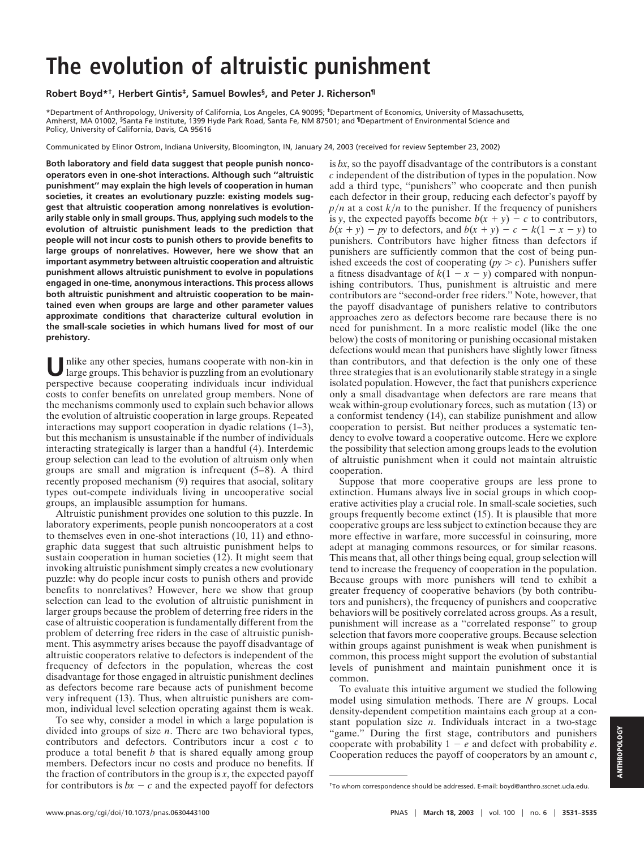# **The evolution of altruistic punishment**

## **Robert Boyd\*†, Herbert Gintis‡, Samuel Bowles§, and Peter J. Richerson¶**

\*Department of Anthropology, University of California, Los Angeles, CA 90095; ‡Department of Economics, University of Massachusetts, Amherst, MA 01002, §Santa Fe Institute, 1399 Hyde Park Road, Santa Fe, NM 87501; and ¶Department of Environmental Science and Policy, University of California, Davis, CA 95616

Communicated by Elinor Ostrom, Indiana University, Bloomington, IN, January 24, 2003 (received for review September 23, 2002)

**Both laboratory and field data suggest that people punish noncooperators even in one-shot interactions. Although such ''altruistic punishment'' may explain the high levels of cooperation in human societies, it creates an evolutionary puzzle: existing models suggest that altruistic cooperation among nonrelatives is evolutionarily stable only in small groups. Thus, applying such models to the evolution of altruistic punishment leads to the prediction that people will not incur costs to punish others to provide benefits to large groups of nonrelatives. However, here we show that an important asymmetry between altruistic cooperation and altruistic punishment allows altruistic punishment to evolve in populations engaged in one-time, anonymous interactions. This process allows both altruistic punishment and altruistic cooperation to be maintained even when groups are large and other parameter values approximate conditions that characterize cultural evolution in the small-scale societies in which humans lived for most of our prehistory.**

**U**nlike any other species, humans cooperate with non-kin in large groups. This behavior is puzzling from an evolutionary perspective because cooperating individuals incur individual costs to confer benefits on unrelated group members. None of the mechanisms commonly used to explain such behavior allows the evolution of altruistic cooperation in large groups. Repeated interactions may support cooperation in dyadic relations (1–3), but this mechanism is unsustainable if the number of individuals interacting strategically is larger than a handful (4). Interdemic group selection can lead to the evolution of altruism only when groups are small and migration is infrequent (5–8). A third recently proposed mechanism (9) requires that asocial, solitary types out-compete individuals living in uncooperative social groups, an implausible assumption for humans.

Altruistic punishment provides one solution to this puzzle. In laboratory experiments, people punish noncooperators at a cost to themselves even in one-shot interactions (10, 11) and ethnographic data suggest that such altruistic punishment helps to sustain cooperation in human societies (12). It might seem that invoking altruistic punishment simply creates a new evolutionary puzzle: why do people incur costs to punish others and provide benefits to nonrelatives? However, here we show that group selection can lead to the evolution of altruistic punishment in larger groups because the problem of deterring free riders in the case of altruistic cooperation is fundamentally different from the problem of deterring free riders in the case of altruistic punishment. This asymmetry arises because the payoff disadvantage of altruistic cooperators relative to defectors is independent of the frequency of defectors in the population, whereas the cost disadvantage for those engaged in altruistic punishment declines as defectors become rare because acts of punishment become very infrequent (13). Thus, when altruistic punishers are common, individual level selection operating against them is weak.

To see why, consider a model in which a large population is divided into groups of size *n*. There are two behavioral types, contributors and defectors. Contributors incur a cost *c* to produce a total benefit *b* that is shared equally among group members. Defectors incur no costs and produce no benefits. If the fraction of contributors in the group is *x*, the expected payoff for contributors is  $bx - c$  and the expected payoff for defectors

is *bx*, so the payoff disadvantage of the contributors is a constant *c* independent of the distribution of types in the population. Now add a third type, ''punishers'' who cooperate and then punish each defector in their group, reducing each defector's payoff by  $p/n$  at a cost  $k/n$  to the punisher. If the frequency of punishers is *y*, the expected payoffs become  $b(x + y) - c$  to contributors,  $b(x + y) - py$  to defectors, and  $b(x + y) - c - k(1 - x - y)$  to punishers. Contributors have higher fitness than defectors if punishers are sufficiently common that the cost of being punished exceeds the cost of cooperating  $(py > c)$ . Punishers suffer a fitness disadvantage of  $k(1 - x - y)$  compared with nonpunishing contributors. Thus, punishment is altruistic and mere contributors are ''second-order free riders.'' Note, however, that the payoff disadvantage of punishers relative to contributors approaches zero as defectors become rare because there is no need for punishment. In a more realistic model (like the one below) the costs of monitoring or punishing occasional mistaken defections would mean that punishers have slightly lower fitness than contributors, and that defection is the only one of these three strategies that is an evolutionarily stable strategy in a single isolated population. However, the fact that punishers experience only a small disadvantage when defectors are rare means that weak within-group evolutionary forces, such as mutation (13) or a conformist tendency (14), can stabilize punishment and allow cooperation to persist. But neither produces a systematic tendency to evolve toward a cooperative outcome. Here we explore the possibility that selection among groups leads to the evolution of altruistic punishment when it could not maintain altruistic cooperation.

Suppose that more cooperative groups are less prone to extinction. Humans always live in social groups in which cooperative activities play a crucial role. In small-scale societies, such groups frequently become extinct (15). It is plausible that more cooperative groups are less subject to extinction because they are more effective in warfare, more successful in coinsuring, more adept at managing commons resources, or for similar reasons. This means that, all other things being equal, group selection will tend to increase the frequency of cooperation in the population. Because groups with more punishers will tend to exhibit a greater frequency of cooperative behaviors (by both contributors and punishers), the frequency of punishers and cooperative behaviors will be positively correlated across groups. As a result, punishment will increase as a ''correlated response'' to group selection that favors more cooperative groups. Because selection within groups against punishment is weak when punishment is common, this process might support the evolution of substantial levels of punishment and maintain punishment once it is common.

To evaluate this intuitive argument we studied the following model using simulation methods. There are *N* groups. Local density-dependent competition maintains each group at a constant population size *n*. Individuals interact in a two-stage "game." During the first stage, contributors and punishers cooperate with probability  $1 - e$  and defect with probability  $e$ . Cooperation reduces the payoff of cooperators by an amount *c*,

<sup>†</sup>To whom correspondence should be addressed. E-mail: boyd@anthro.sscnet.ucla.edu.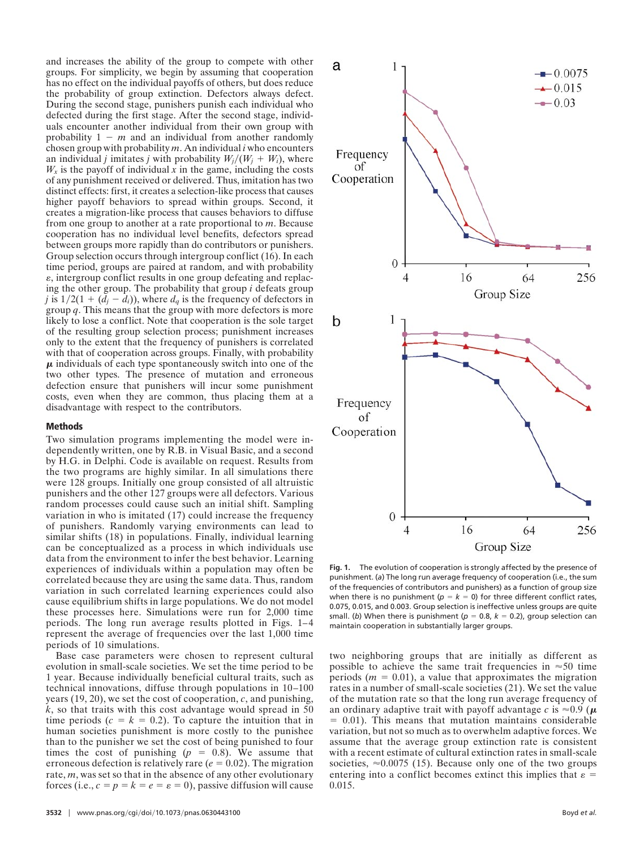and increases the ability of the group to compete with other groups. For simplicity, we begin by assuming that cooperation has no effect on the individual payoffs of others, but does reduce the probability of group extinction. Defectors always defect. During the second stage, punishers punish each individual who defected during the first stage. After the second stage, individuals encounter another individual from their own group with probability  $1 - m$  and an individual from another randomly chosen group with probability *m*. An individual *i* who encounters an individual *j* imitates *j* with probability  $W_i/(W_i + W_i)$ , where  $W_x$  is the payoff of individual x in the game, including the costs of any punishment received or delivered. Thus, imitation has two distinct effects: first, it creates a selection-like process that causes higher payoff behaviors to spread within groups. Second, it creates a migration-like process that causes behaviors to diffuse from one group to another at a rate proportional to *m*. Because cooperation has no individual level benefits, defectors spread between groups more rapidly than do contributors or punishers. Group selection occurs through intergroup conflict (16). In each time period, groups are paired at random, and with probability  $\varepsilon$ , intergroup conflict results in one group defeating and replacing the other group. The probability that group *i* defeats group *j* is  $1/2(1 + (d_i - d_i))$ , where  $d_a$  is the frequency of defectors in group *q*. This means that the group with more defectors is more likely to lose a conflict. Note that cooperation is the sole target of the resulting group selection process; punishment increases only to the extent that the frequency of punishers is correlated with that of cooperation across groups. Finally, with probability  $\mu$  individuals of each type spontaneously switch into one of the two other types. The presence of mutation and erroneous defection ensure that punishers will incur some punishment costs, even when they are common, thus placing them at a disadvantage with respect to the contributors.

## **Methods**

Two simulation programs implementing the model were independently written, one by R.B. in Visual Basic, and a second by H.G. in Delphi. Code is available on request. Results from the two programs are highly similar. In all simulations there were 128 groups. Initially one group consisted of all altruistic punishers and the other 127 groups were all defectors. Various random processes could cause such an initial shift. Sampling variation in who is imitated (17) could increase the frequency of punishers. Randomly varying environments can lead to similar shifts (18) in populations. Finally, individual learning can be conceptualized as a process in which individuals use data from the environment to infer the best behavior. Learning experiences of individuals within a population may often be correlated because they are using the same data. Thus, random variation in such correlated learning experiences could also cause equilibrium shifts in large populations. We do not model these processes here. Simulations were run for 2,000 time periods. The long run average results plotted in Figs. 1–4 represent the average of frequencies over the last 1,000 time periods of 10 simulations.

Base case parameters were chosen to represent cultural evolution in small-scale societies. We set the time period to be 1 year. Because individually beneficial cultural traits, such as technical innovations, diffuse through populations in 10–100 years (19, 20), we set the cost of cooperation, *c*, and punishing, *k*, so that traits with this cost advantage would spread in 50 time periods  $(c = k = 0.2)$ . To capture the intuition that in human societies punishment is more costly to the punishee than to the punisher we set the cost of being punished to four times the cost of punishing  $(p = 0.8)$ . We assume that erroneous defection is relatively rare ( $e = 0.02$ ). The migration rate, *m*, was set so that in the absence of any other evolutionary forces (i.e.,  $c = p = k = e = \varepsilon = 0$ ), passive diffusion will cause



**Fig. 1.** The evolution of cooperation is strongly affected by the presence of punishment. (*a*) The long run average frequency of cooperation (i.e., the sum of the frequencies of contributors and punishers) as a function of group size when there is no punishment ( $p = k = 0$ ) for three different conflict rates, 0.075, 0.015, and 0.003. Group selection is ineffective unless groups are quite small. (b) When there is punishment ( $p = 0.8$ ,  $k = 0.2$ ), group selection can maintain cooperation in substantially larger groups.

two neighboring groups that are initially as different as possible to achieve the same trait frequencies in  $\approx 50$  time periods  $(m = 0.01)$ , a value that approximates the migration rates in a number of small-scale societies (21). We set the value of the mutation rate so that the long run average frequency of an ordinary adaptive trait with payoff advantage *c* is  $\approx 0.9$  ( $\mu$  $= 0.01$ ). This means that mutation maintains considerable variation, but not so much as to overwhelm adaptive forces. We assume that the average group extinction rate is consistent with a recent estimate of cultural extinction rates in small-scale societies,  $\approx 0.0075$  (15). Because only one of the two groups entering into a conflict becomes extinct this implies that  $\varepsilon =$ 0.015.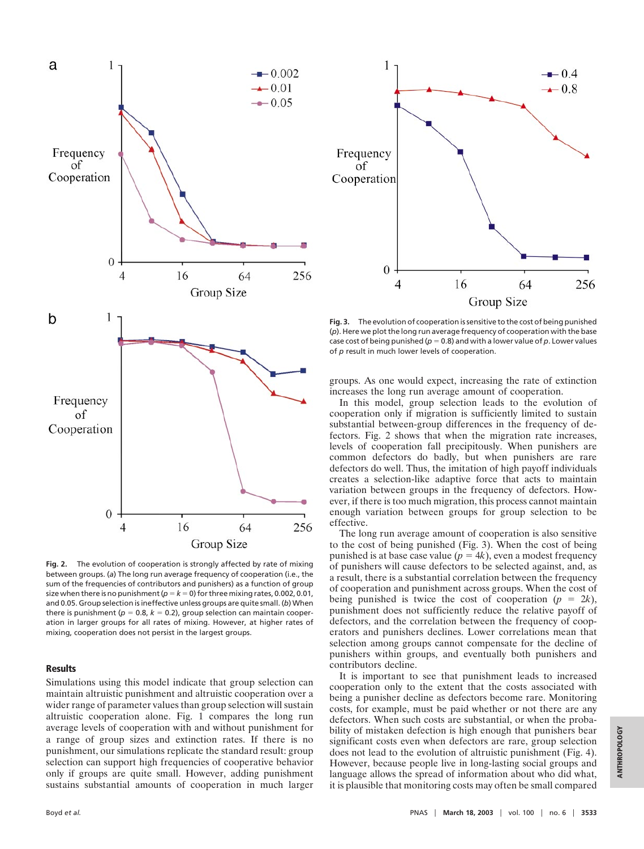

**Fig. 2.** The evolution of cooperation is strongly affected by rate of mixing between groups. (*a*) The long run average frequency of cooperation (i.e., the sum of the frequencies of contributors and punishers) as a function of group size when there is no punishment ( $p = k = 0$ ) for three mixing rates, 0.002, 0.01, and 0.05. Group selection is ineffective unless groups are quite small. (*b*) When there is punishment ( $p = 0.8$ ,  $k = 0.2$ ), group selection can maintain cooperation in larger groups for all rates of mixing. However, at higher rates of mixing, cooperation does not persist in the largest groups.

### **Results**

Simulations using this model indicate that group selection can maintain altruistic punishment and altruistic cooperation over a wider range of parameter values than group selection will sustain altruistic cooperation alone. Fig. 1 compares the long run average levels of cooperation with and without punishment for a range of group sizes and extinction rates. If there is no punishment, our simulations replicate the standard result: group selection can support high frequencies of cooperative behavior only if groups are quite small. However, adding punishment sustains substantial amounts of cooperation in much larger



**Fig. 3.** The evolution of cooperation is sensitive to the cost of being punished (*p*). Here we plot the long run average frequency of cooperation with the base case cost of being punished ( $p = 0.8$ ) and with a lower value of  $p$ . Lower values of *p* result in much lower levels of cooperation.

groups. As one would expect, increasing the rate of extinction increases the long run average amount of cooperation.

In this model, group selection leads to the evolution of cooperation only if migration is sufficiently limited to sustain substantial between-group differences in the frequency of defectors. Fig. 2 shows that when the migration rate increases, levels of cooperation fall precipitously. When punishers are common defectors do badly, but when punishers are rare defectors do well. Thus, the imitation of high payoff individuals creates a selection-like adaptive force that acts to maintain variation between groups in the frequency of defectors. However, if there is too much migration, this process cannot maintain enough variation between groups for group selection to be effective.

The long run average amount of cooperation is also sensitive to the cost of being punished (Fig. 3). When the cost of being punished is at base case value  $(p = 4k)$ , even a modest frequency of punishers will cause defectors to be selected against, and, as a result, there is a substantial correlation between the frequency of cooperation and punishment across groups. When the cost of being punished is twice the cost of cooperation  $(p = 2k)$ , punishment does not sufficiently reduce the relative payoff of defectors, and the correlation between the frequency of cooperators and punishers declines. Lower correlations mean that selection among groups cannot compensate for the decline of punishers within groups, and eventually both punishers and contributors decline.

It is important to see that punishment leads to increased cooperation only to the extent that the costs associated with being a punisher decline as defectors become rare. Monitoring costs, for example, must be paid whether or not there are any defectors. When such costs are substantial, or when the probability of mistaken defection is high enough that punishers bear significant costs even when defectors are rare, group selection does not lead to the evolution of altruistic punishment (Fig. 4). However, because people live in long-lasting social groups and language allows the spread of information about who did what, it is plausible that monitoring costs may often be small compared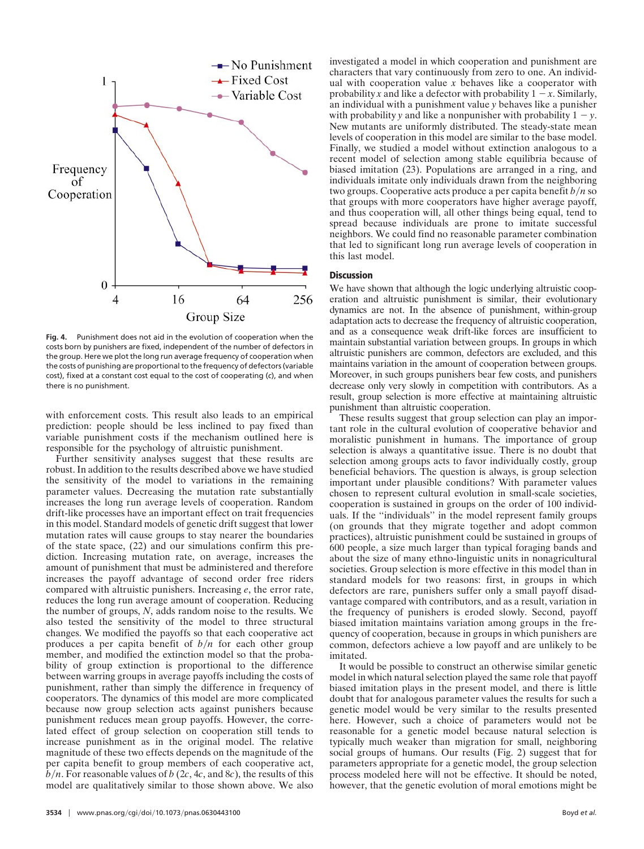

**Fig. 4.** Punishment does not aid in the evolution of cooperation when the costs born by punishers are fixed, independent of the number of defectors in the group. Here we plot the long run average frequency of cooperation when the costs of punishing are proportional to the frequency of defectors (variable cost), fixed at a constant cost equal to the cost of cooperating (*c*), and when there is no punishment.

with enforcement costs. This result also leads to an empirical prediction: people should be less inclined to pay fixed than variable punishment costs if the mechanism outlined here is responsible for the psychology of altruistic punishment.

Further sensitivity analyses suggest that these results are robust. In addition to the results described above we have studied the sensitivity of the model to variations in the remaining parameter values. Decreasing the mutation rate substantially increases the long run average levels of cooperation. Random drift-like processes have an important effect on trait frequencies in this model. Standard models of genetic drift suggest that lower mutation rates will cause groups to stay nearer the boundaries of the state space, (22) and our simulations confirm this prediction. Increasing mutation rate, on average, increases the amount of punishment that must be administered and therefore increases the payoff advantage of second order free riders compared with altruistic punishers. Increasing *e*, the error rate, reduces the long run average amount of cooperation. Reducing the number of groups, *N*, adds random noise to the results. We also tested the sensitivity of the model to three structural changes. We modified the payoffs so that each cooperative act produces a per capita benefit of  $b/n$  for each other group member, and modified the extinction model so that the probability of group extinction is proportional to the difference between warring groups in average payoffs including the costs of punishment, rather than simply the difference in frequency of cooperators. The dynamics of this model are more complicated because now group selection acts against punishers because punishment reduces mean group payoffs. However, the correlated effect of group selection on cooperation still tends to increase punishment as in the original model. The relative magnitude of these two effects depends on the magnitude of the per capita benefit to group members of each cooperative act,  $b/n$ . For reasonable values of *b* (2*c*, 4*c*, and 8*c*), the results of this model are qualitatively similar to those shown above. We also

investigated a model in which cooperation and punishment are characters that vary continuously from zero to one. An individual with cooperation value *x* behaves like a cooperator with probability *x* and like a defector with probability  $1 - x$ . Similarly, an individual with a punishment value *y* behaves like a punisher with probability *y* and like a nonpunisher with probability  $1 - y$ . New mutants are uniformly distributed. The steady-state mean levels of cooperation in this model are similar to the base model. Finally, we studied a model without extinction analogous to a recent model of selection among stable equilibria because of biased imitation (23). Populations are arranged in a ring, and individuals imitate only individuals drawn from the neighboring two groups. Cooperative acts produce a per capita benefit  $b/n$  so that groups with more cooperators have higher average payoff, and thus cooperation will, all other things being equal, tend to spread because individuals are prone to imitate successful neighbors. We could find no reasonable parameter combination that led to significant long run average levels of cooperation in this last model.

### **Discussion**

We have shown that although the logic underlying altruistic cooperation and altruistic punishment is similar, their evolutionary dynamics are not. In the absence of punishment, within-group adaptation acts to decrease the frequency of altruistic cooperation, and as a consequence weak drift-like forces are insufficient to maintain substantial variation between groups. In groups in which altruistic punishers are common, defectors are excluded, and this maintains variation in the amount of cooperation between groups. Moreover, in such groups punishers bear few costs, and punishers decrease only very slowly in competition with contributors. As a result, group selection is more effective at maintaining altruistic punishment than altruistic cooperation.

These results suggest that group selection can play an important role in the cultural evolution of cooperative behavior and moralistic punishment in humans. The importance of group selection is always a quantitative issue. There is no doubt that selection among groups acts to favor individually costly, group beneficial behaviors. The question is always, is group selection important under plausible conditions? With parameter values chosen to represent cultural evolution in small-scale societies, cooperation is sustained in groups on the order of 100 individuals. If the ''individuals'' in the model represent family groups (on grounds that they migrate together and adopt common practices), altruistic punishment could be sustained in groups of 600 people, a size much larger than typical foraging bands and about the size of many ethno-linguistic units in nonagricultural societies. Group selection is more effective in this model than in standard models for two reasons: first, in groups in which defectors are rare, punishers suffer only a small payoff disadvantage compared with contributors, and as a result, variation in the frequency of punishers is eroded slowly. Second, payoff biased imitation maintains variation among groups in the frequency of cooperation, because in groups in which punishers are common, defectors achieve a low payoff and are unlikely to be imitated.

It would be possible to construct an otherwise similar genetic model in which natural selection played the same role that payoff biased imitation plays in the present model, and there is little doubt that for analogous parameter values the results for such a genetic model would be very similar to the results presented here. However, such a choice of parameters would not be reasonable for a genetic model because natural selection is typically much weaker than migration for small, neighboring social groups of humans. Our results (Fig. 2) suggest that for parameters appropriate for a genetic model, the group selection process modeled here will not be effective. It should be noted, however, that the genetic evolution of moral emotions might be